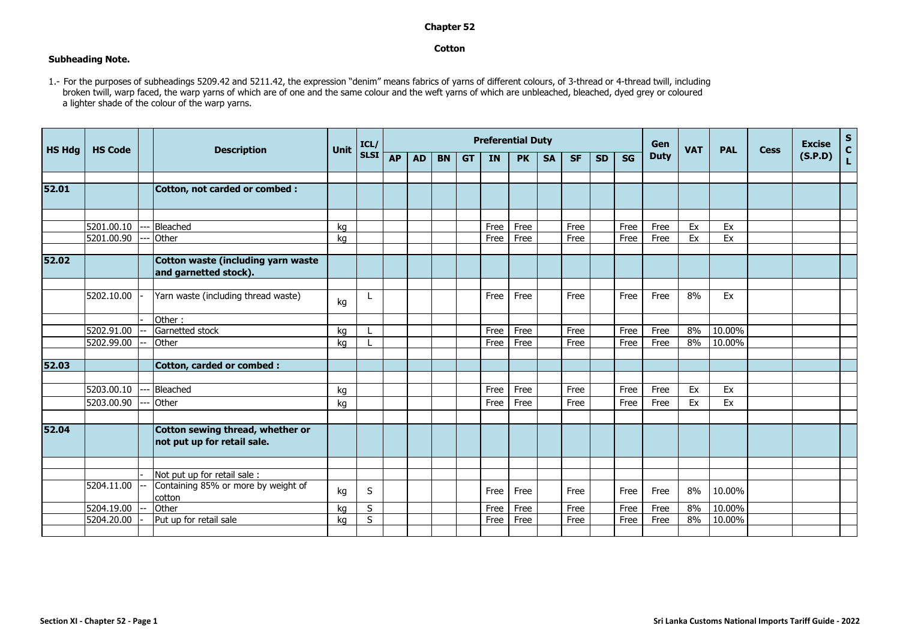## **Chapter 52**

## **Cotton**

## **Subheading Note.**

1.- For the purposes of subheadings 5209.42 and 5211.42, the expression "denim" means fabrics of yarns of different colours, of 3-thread or 4-thread twill, including broken twill, warp faced, the warp yarns of which are of one and the same colour and the weft yarns of which are unbleached, bleached, dyed grey or coloured a lighter shade of the colour of the warp yarns.

| <b>HS Hdg</b> | <b>HS Code</b> | <b>Description</b>                                                 | Unit | ICL/        | <b>Preferential Duty</b> |           |           |           |      |           |           |           |           |      |             | <b>VAT</b> | <b>PAL</b> | <b>Cess</b> | <b>Excise</b> | $S$<br>C           |
|---------------|----------------|--------------------------------------------------------------------|------|-------------|--------------------------|-----------|-----------|-----------|------|-----------|-----------|-----------|-----------|------|-------------|------------|------------|-------------|---------------|--------------------|
|               |                |                                                                    |      | <b>SLSI</b> | <b>AP</b>                | <b>AD</b> | <b>BN</b> | <b>GT</b> | IN   | <b>PK</b> | <b>SA</b> | <b>SF</b> | <b>SD</b> | SG   | <b>Duty</b> |            |            |             | (S.P.D)       | $\bar{\mathbf{L}}$ |
|               |                |                                                                    |      |             |                          |           |           |           |      |           |           |           |           |      |             |            |            |             |               |                    |
| 52.01         |                | <b>Cotton, not carded or combed:</b>                               |      |             |                          |           |           |           |      |           |           |           |           |      |             |            |            |             |               |                    |
|               |                |                                                                    |      |             |                          |           |           |           |      |           |           |           |           |      |             |            |            |             |               |                    |
|               | 5201.00.10     | Bleached                                                           | ka   |             |                          |           |           |           | Free | Free      |           | Free      |           | Free | Free        | Ex         | Ex         |             |               |                    |
|               | 5201.00.90     | Other                                                              | kg   |             |                          |           |           |           | Free | Free      |           | Free      |           | Free | Free        | Ex         | Ex         |             |               |                    |
| 52.02         |                | <b>Cotton waste (including yarn waste</b><br>and garnetted stock). |      |             |                          |           |           |           |      |           |           |           |           |      |             |            |            |             |               |                    |
|               | 5202.10.00     | Yarn waste (including thread waste)                                | kg   |             |                          |           |           |           | Free | Free      |           | Free      |           | Free | Free        | 8%         | Ex         |             |               |                    |
|               |                | Other:                                                             |      |             |                          |           |           |           |      |           |           |           |           |      |             |            |            |             |               |                    |
|               | 5202.91.00     | Garnetted stock                                                    | kg   |             |                          |           |           |           | Free | Free      |           | Free      |           | Free | Free        | 8%         | 10.00%     |             |               |                    |
|               | 5202.99.00     | Other                                                              | ka   |             |                          |           |           |           | Free | Free      |           | Free      |           | Free | Free        | 8%         | 10.00%     |             |               |                    |
|               |                |                                                                    |      |             |                          |           |           |           |      |           |           |           |           |      |             |            |            |             |               |                    |
| 52.03         |                | <b>Cotton, carded or combed:</b>                                   |      |             |                          |           |           |           |      |           |           |           |           |      |             |            |            |             |               |                    |
|               |                |                                                                    |      |             |                          |           |           |           |      |           |           |           |           |      |             |            |            |             |               |                    |
|               | 5203.00.10     | Bleached                                                           | kg   |             |                          |           |           |           | Free | Free      |           | Free      |           | Free | Free        | Ex         | Ex         |             |               |                    |
|               | 5203.00.90     | Other                                                              | kg   |             |                          |           |           |           | Free | Free      |           | Free      |           | Free | Free        | Ex         | Ex         |             |               |                    |
|               |                |                                                                    |      |             |                          |           |           |           |      |           |           |           |           |      |             |            |            |             |               |                    |
| 52.04         |                | Cotton sewing thread, whether or<br>not put up for retail sale.    |      |             |                          |           |           |           |      |           |           |           |           |      |             |            |            |             |               |                    |
|               |                |                                                                    |      |             |                          |           |           |           |      |           |           |           |           |      |             |            |            |             |               |                    |
|               |                | Not put up for retail sale :                                       |      |             |                          |           |           |           |      |           |           |           |           |      |             |            |            |             |               |                    |
|               | 5204.11.00     | Containing 85% or more by weight of<br>cotton                      | kg   | S           |                          |           |           |           | Free | Free      |           | Free      |           | Free | Free        | 8%         | 10.00%     |             |               |                    |
|               | 5204.19.00     | Other                                                              | ka   | S           |                          |           |           |           | Free | Free      |           | Free      |           | Free | Free        | 8%         | 10.00%     |             |               |                    |
|               | 5204.20.00     | Put up for retail sale                                             | ka   | S           |                          |           |           |           | Free | Free      |           | Free      |           | Free | Free        | 8%         | 10.00%     |             |               |                    |
|               |                |                                                                    |      |             |                          |           |           |           |      |           |           |           |           |      |             |            |            |             |               |                    |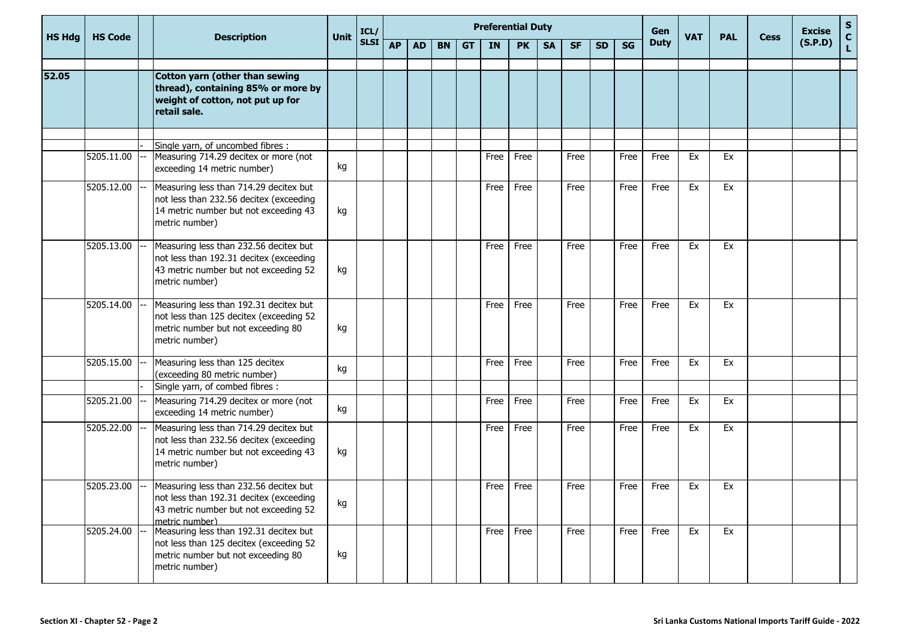|               |                |  |                                                                                                                                              | ICL/        |             |    |           |           |           | <b>Preferential Duty</b> |           |           |           |           | Gen       |             |            |            | <b>Excise</b> | S.      |                    |
|---------------|----------------|--|----------------------------------------------------------------------------------------------------------------------------------------------|-------------|-------------|----|-----------|-----------|-----------|--------------------------|-----------|-----------|-----------|-----------|-----------|-------------|------------|------------|---------------|---------|--------------------|
| <b>HS Hdg</b> | <b>HS Code</b> |  | <b>Description</b>                                                                                                                           | <b>Unit</b> | <b>SLSI</b> | AP | <b>AD</b> | <b>BN</b> | <b>GT</b> | IN                       | <b>PK</b> | <b>SA</b> | <b>SF</b> | <b>SD</b> | <b>SG</b> | <b>Duty</b> | <b>VAT</b> | <b>PAL</b> | <b>Cess</b>   | (S.P.D) | $\mathbf{C}$<br>Ĺ. |
| 52.05         |                |  | Cotton yarn (other than sewing<br>thread), containing 85% or more by<br>weight of cotton, not put up for<br>retail sale.                     |             |             |    |           |           |           |                          |           |           |           |           |           |             |            |            |               |         |                    |
|               |                |  |                                                                                                                                              |             |             |    |           |           |           |                          |           |           |           |           |           |             |            |            |               |         |                    |
|               | 5205.11.00     |  | Single yarn, of uncombed fibres :<br>Measuring 714.29 decitex or more (not<br>exceeding 14 metric number)                                    | kg          |             |    |           |           |           | Free                     | Free      |           | Free      |           | Free      | Free        | Ex         | Ex         |               |         |                    |
|               | 5205.12.00     |  | Measuring less than 714.29 decitex but<br>not less than 232.56 decitex (exceeding<br>14 metric number but not exceeding 43<br>metric number) | kg          |             |    |           |           |           | Free                     | Free      |           | Free      |           | Free      | Free        | Ex         | Ex         |               |         |                    |
|               | 5205.13.00     |  | Measuring less than 232.56 decitex but<br>not less than 192.31 decitex (exceeding<br>43 metric number but not exceeding 52<br>metric number) | kg          |             |    |           |           |           | Free                     | Free      |           | Free      |           | Free      | Free        | Ex         | Ex         |               |         |                    |
|               | 5205.14.00     |  | Measuring less than 192.31 decitex but<br>not less than 125 decitex (exceeding 52<br>metric number but not exceeding 80<br>metric number)    | kg          |             |    |           |           |           | Free                     | Free      |           | Free      |           | Free      | Free        | Ex         | Ex         |               |         |                    |
|               | 5205.15.00     |  | Measuring less than 125 decitex<br>(exceeding 80 metric number)                                                                              | kg          |             |    |           |           |           | Free                     | Free      |           | Free      |           | Free      | Free        | Ex         | Ex         |               |         |                    |
|               | 5205.21.00     |  | Single yarn, of combed fibres :<br>Measuring 714.29 decitex or more (not<br>exceeding 14 metric number)                                      | kg          |             |    |           |           |           | Free                     | Free      |           | Free      |           | Free      | Free        | Ex         | Ex         |               |         |                    |
|               | 5205.22.00     |  | Measuring less than 714.29 decitex but<br>not less than 232.56 decitex (exceeding<br>14 metric number but not exceeding 43<br>metric number) | kg          |             |    |           |           |           | Free                     | Free      |           | Free      |           | Free      | Free        | Ex         | Ex         |               |         |                    |
|               | 5205.23.00     |  | Measuring less than 232.56 decitex but<br>not less than 192.31 decitex (exceeding<br>43 metric number but not exceeding 52<br>metric number) | kg          |             |    |           |           |           | Free                     | Free      |           | Free      |           | Free      | Free        | Ex         | Ex         |               |         |                    |
|               | 5205.24.00     |  | Measuring less than 192.31 decitex but<br>not less than 125 decitex (exceeding 52<br>metric number but not exceeding 80<br>metric number)    | kg          |             |    |           |           |           | Free                     | Free      |           | Free      |           | Free      | Free        | Ex         | Ex         |               |         |                    |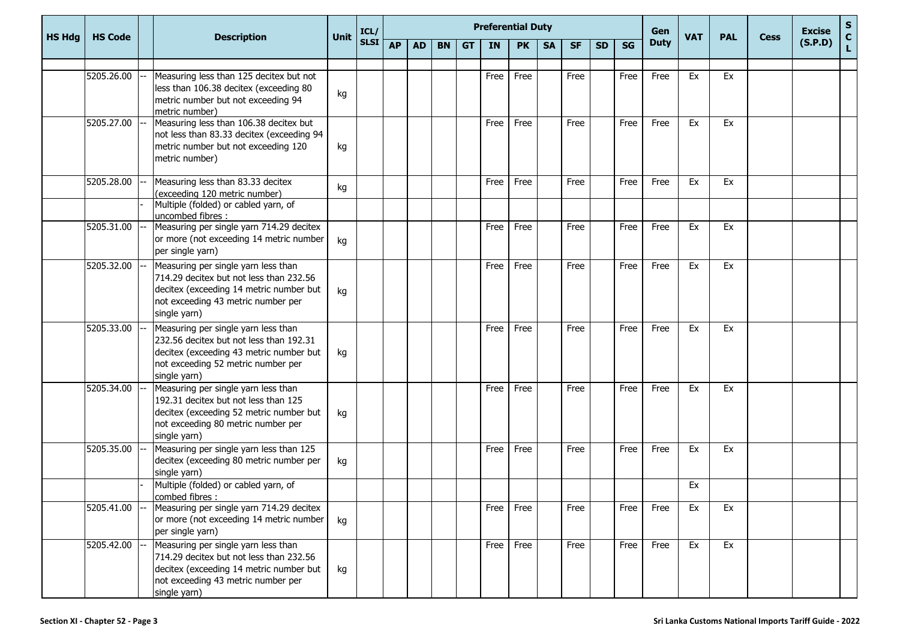|               |                |                                                                                                                                                                                 | <b>Preferential Duty</b><br>Gen<br>ICL/<br><b>Unit</b> |             |           |           |           |           |           |           |           |           | <b>Excise</b> | $\mathbf{s}$ |             |            |            |             |         |                                 |
|---------------|----------------|---------------------------------------------------------------------------------------------------------------------------------------------------------------------------------|--------------------------------------------------------|-------------|-----------|-----------|-----------|-----------|-----------|-----------|-----------|-----------|---------------|--------------|-------------|------------|------------|-------------|---------|---------------------------------|
| <b>HS Hdg</b> | <b>HS Code</b> | <b>Description</b>                                                                                                                                                              |                                                        | <b>SLSI</b> | <b>AP</b> | <b>AD</b> | <b>BN</b> | <b>GT</b> | <b>IN</b> | <b>PK</b> | <b>SA</b> | <b>SF</b> | <b>SD</b>     | <b>SG</b>    | <b>Duty</b> | <b>VAT</b> | <b>PAL</b> | <b>Cess</b> | (S.P.D) | $\frac{\mathsf{c}}{\mathsf{L}}$ |
|               | 5205.26.00     | Measuring less than 125 decitex but not<br>less than 106.38 decitex (exceeding 80<br>metric number but not exceeding 94<br>metric number)                                       | kg                                                     |             |           |           |           |           | Free      | Free      |           | Free      |               | Free         | Free        | Ex         | Ex         |             |         |                                 |
|               | 5205.27.00     | Measuring less than 106.38 decitex but<br>not less than 83.33 decitex (exceeding 94<br>metric number but not exceeding 120<br>metric number)                                    | kg                                                     |             |           |           |           |           | Free      | Free      |           | Free      |               | Free         | Free        | Ex         | Ex         |             |         |                                 |
|               | 5205.28.00     | Measuring less than 83.33 decitex<br>(exceeding 120 metric number)<br>Multiple (folded) or cabled yarn, of                                                                      | kg                                                     |             |           |           |           |           | Free      | Free      |           | Free      |               | Free         | Free        | Ex         | Ex         |             |         |                                 |
|               | 5205.31.00     | uncombed fibres :<br>Measuring per single yarn 714.29 decitex<br>or more (not exceeding 14 metric number<br>per single yarn)                                                    | kg                                                     |             |           |           |           |           | Free      | Free      |           | Free      |               | Free         | Free        | Ex         | Ex         |             |         |                                 |
|               | 5205.32.00     | Measuring per single yarn less than<br>714.29 decitex but not less than 232.56<br>decitex (exceeding 14 metric number but<br>not exceeding 43 metric number per<br>single yarn) | kg                                                     |             |           |           |           |           | Free      | Free      |           | Free      |               | Free         | Free        | Ex         | Ex         |             |         |                                 |
|               | 5205.33.00     | Measuring per single yarn less than<br>232.56 decitex but not less than 192.31<br>decitex (exceeding 43 metric number but<br>not exceeding 52 metric number per<br>single yarn) | kg                                                     |             |           |           |           |           | Free      | Free      |           | Free      |               | Free         | Free        | Ex         | Ex         |             |         |                                 |
|               | 5205.34.00     | Measuring per single yarn less than<br>192.31 decitex but not less than 125<br>decitex (exceeding 52 metric number but<br>not exceeding 80 metric number per<br>single yarn)    | kg                                                     |             |           |           |           |           | Free      | Free      |           | Free      |               | Free         | Free        | Ex         | Ex         |             |         |                                 |
|               | 5205.35.00     | Measuring per single yarn less than 125<br>decitex (exceeding 80 metric number per<br>single yarn)                                                                              | kg                                                     |             |           |           |           |           | Free      | Free      |           | Free      |               | Free         | Free        | Ex         | Ex         |             |         |                                 |
|               |                | Multiple (folded) or cabled yarn, of<br>combed fibres :                                                                                                                         |                                                        |             |           |           |           |           |           |           |           |           |               |              |             | Ex         |            |             |         |                                 |
|               | 5205.41.00     | Measuring per single yarn 714.29 decitex<br>or more (not exceeding 14 metric number<br>per single yarn)                                                                         | kg                                                     |             |           |           |           |           | Free      | Free      |           | Free      |               | Free         | Free        | Ex         | Ex         |             |         |                                 |
|               | 5205.42.00     | Measuring per single yarn less than<br>714.29 decitex but not less than 232.56<br>decitex (exceeding 14 metric number but<br>not exceeding 43 metric number per<br>single yarn) | kg                                                     |             |           |           |           |           | Free      | Free      |           | Free      |               | Free         | Free        | Ex         | Ex         |             |         |                                 |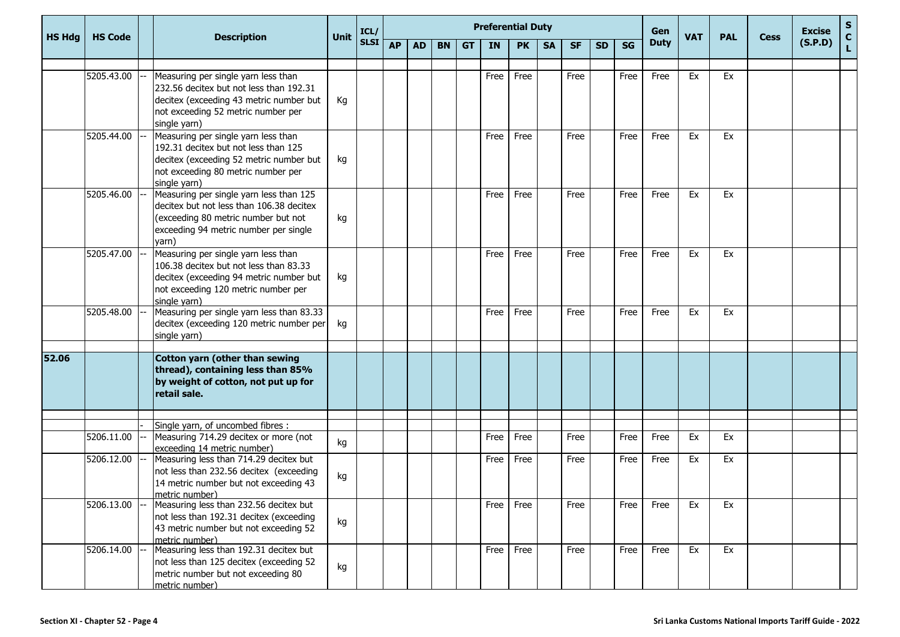|               |                |                                                                                                                                                                                 |             | ICL/        |           | <b>Preferential Duty</b> |           |           |      |           |           |           |           |           | Gen         |            |            |             | <b>Excise</b> | S.      |
|---------------|----------------|---------------------------------------------------------------------------------------------------------------------------------------------------------------------------------|-------------|-------------|-----------|--------------------------|-----------|-----------|------|-----------|-----------|-----------|-----------|-----------|-------------|------------|------------|-------------|---------------|---------|
| <b>HS Hdg</b> | <b>HS Code</b> | <b>Description</b>                                                                                                                                                              | <b>Unit</b> | <b>SLSI</b> | <b>AP</b> | <b>AD</b>                | <b>BN</b> | <b>GT</b> | IN   | <b>PK</b> | <b>SA</b> | <b>SF</b> | <b>SD</b> | <b>SG</b> | <b>Duty</b> | <b>VAT</b> | <b>PAL</b> | <b>Cess</b> | (S.P.D)       | C<br>L. |
|               |                |                                                                                                                                                                                 |             |             |           |                          |           |           |      |           |           |           |           |           |             |            |            |             |               |         |
|               | 5205.43.00     | Measuring per single yarn less than<br>232.56 decitex but not less than 192.31<br>decitex (exceeding 43 metric number but<br>not exceeding 52 metric number per<br>single yarn) | Кg          |             |           |                          |           |           | Free | Free      |           | Free      |           | Free      | Free        | Ex         | Ex         |             |               |         |
|               | 5205.44.00     | Measuring per single yarn less than<br>192.31 decitex but not less than 125<br>decitex (exceeding 52 metric number but<br>not exceeding 80 metric number per<br>single yarn)    | kg          |             |           |                          |           |           | Free | Free      |           | Free      |           | Free      | Free        | Ex         | Ex         |             |               |         |
|               | 5205.46.00     | Measuring per single yarn less than 125<br>decitex but not less than 106.38 decitex<br>(exceeding 80 metric number but not<br>exceeding 94 metric number per single<br>yarn)    | kg          |             |           |                          |           |           | Free | Free      |           | Free      |           | Free      | Free        | Ex         | Ex         |             |               |         |
|               | 5205.47.00     | Measuring per single yarn less than<br>106.38 decitex but not less than 83.33<br>decitex (exceeding 94 metric number but<br>not exceeding 120 metric number per<br>single yarn) | kg          |             |           |                          |           |           | Free | Free      |           | Free      |           | Free      | Free        | Ex         | Ex         |             |               |         |
|               | 5205.48.00     | Measuring per single yarn less than 83.33<br>decitex (exceeding 120 metric number per<br>single yarn)                                                                           | kg          |             |           |                          |           |           | Free | Free      |           | Free      |           | Free      | Free        | Ex         | Ex         |             |               |         |
| 52.06         |                | Cotton yarn (other than sewing<br>thread), containing less than 85%<br>by weight of cotton, not put up for<br>retail sale.                                                      |             |             |           |                          |           |           |      |           |           |           |           |           |             |            |            |             |               |         |
|               |                | Single yarn, of uncombed fibres :                                                                                                                                               |             |             |           |                          |           |           |      |           |           |           |           |           |             |            |            |             |               |         |
|               | 5206.11.00     | Measuring 714.29 decitex or more (not<br>exceeding 14 metric number)                                                                                                            | kg          |             |           |                          |           |           | Free | Free      |           | Free      |           | Free      | Free        | Ex         | Ex         |             |               |         |
|               | 5206.12.00     | Measuring less than 714.29 decitex but<br>not less than 232.56 decitex (exceeding<br>14 metric number but not exceeding 43<br>metric number)                                    | kg          |             |           |                          |           |           | Free | Free      |           | Free      |           | Free      | Free        | Ex         | Ex         |             |               |         |
|               | 5206.13.00     | Measuring less than 232.56 decitex but<br>not less than 192.31 decitex (exceeding<br>43 metric number but not exceeding 52<br>metric number)                                    | kg          |             |           |                          |           |           | Free | Free      |           | Free      |           | Free      | Free        | Ex         | Ex         |             |               |         |
|               | 5206.14.00     | Measuring less than 192.31 decitex but<br>not less than 125 decitex (exceeding 52<br>metric number but not exceeding 80<br>metric number)                                       | kg          |             |           |                          |           |           | Free | Free      |           | Free      |           | Free      | Free        | Ex         | Ex         |             |               |         |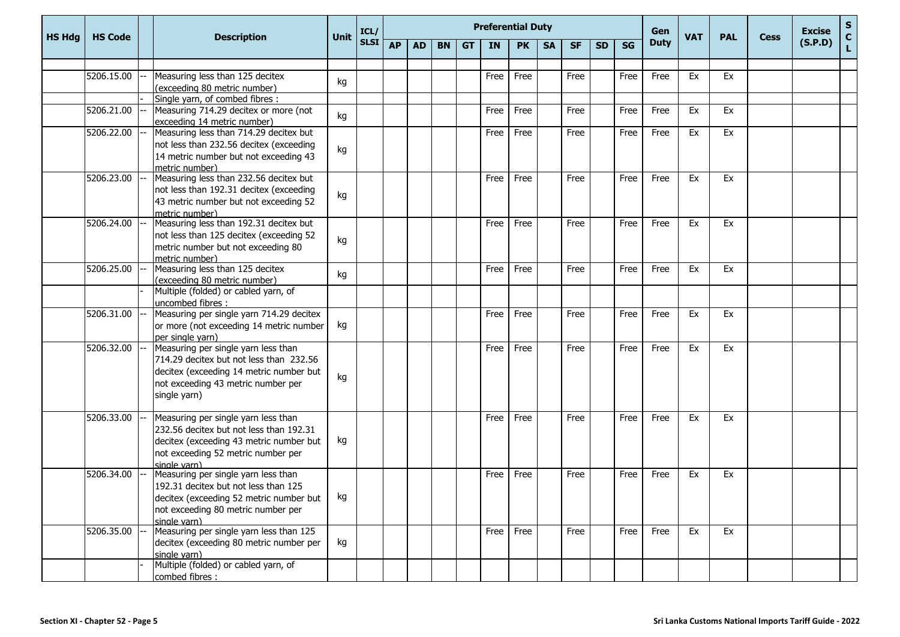|               |                |                                                                                                                                                                                 | <b>Preferential Duty</b><br>Gen<br>ICL/<br><b>Unit</b> |             |           |           |           |           |      |           |           |           |           | <b>VAT</b> | <b>PAL</b>  |    | <b>Excise</b> | ${\sf s}$   |         |        |
|---------------|----------------|---------------------------------------------------------------------------------------------------------------------------------------------------------------------------------|--------------------------------------------------------|-------------|-----------|-----------|-----------|-----------|------|-----------|-----------|-----------|-----------|------------|-------------|----|---------------|-------------|---------|--------|
| <b>HS Hdg</b> | <b>HS Code</b> | <b>Description</b>                                                                                                                                                              |                                                        | <b>SLSI</b> | <b>AP</b> | <b>AD</b> | <b>BN</b> | <b>GT</b> | IN   | <b>PK</b> | <b>SA</b> | <b>SF</b> | <b>SD</b> | <b>SG</b>  | <b>Duty</b> |    |               | <b>Cess</b> | (S.P.D) | C<br>L |
|               |                |                                                                                                                                                                                 |                                                        |             |           |           |           |           |      |           |           |           |           |            |             |    |               |             |         |        |
|               | 5206.15.00     | Measuring less than 125 decitex<br>(exceeding 80 metric number)                                                                                                                 | kg                                                     |             |           |           |           |           | Free | Free      |           | Free      |           | Free       | Free        | Ex | Ex            |             |         |        |
|               |                | Single yarn, of combed fibres :                                                                                                                                                 |                                                        |             |           |           |           |           |      |           |           |           |           |            |             |    |               |             |         |        |
|               | 5206.21.00     | Measuring 714.29 decitex or more (not<br>exceeding 14 metric number)                                                                                                            | kg                                                     |             |           |           |           |           | Free | Free      |           | Free      |           | Free       | Free        | Ex | Ex            |             |         |        |
|               | 5206.22.00     | Measuring less than 714.29 decitex but<br>not less than 232.56 decitex (exceeding<br>14 metric number but not exceeding 43<br>metric number)                                    | kg                                                     |             |           |           |           |           | Free | Free      |           | Free      |           | Free       | Free        | Ex | Ex            |             |         |        |
|               | 5206.23.00     | Measuring less than 232.56 decitex but<br>not less than 192.31 decitex (exceeding<br>43 metric number but not exceeding 52<br>metric number)                                    | kg                                                     |             |           |           |           |           | Free | Free      |           | Free      |           | Free       | Free        | Ex | Ex            |             |         |        |
|               | 5206.24.00     | Measuring less than 192.31 decitex but<br>not less than 125 decitex (exceeding 52<br>metric number but not exceeding 80<br>metric number)                                       | kg                                                     |             |           |           |           |           | Free | Free      |           | Free      |           | Free       | Free        | Ex | Ex            |             |         |        |
|               | 5206.25.00     | Measuring less than 125 decitex<br>(exceeding 80 metric number)                                                                                                                 | kg                                                     |             |           |           |           |           | Free | Free      |           | Free      |           | Free       | Free        | Ex | Ex            |             |         |        |
|               |                | Multiple (folded) or cabled yarn, of<br>uncombed fibres :                                                                                                                       |                                                        |             |           |           |           |           |      |           |           |           |           |            |             |    |               |             |         |        |
|               | 5206.31.00     | Measuring per single yarn 714.29 decitex<br>or more (not exceeding 14 metric number<br>per single yarn)                                                                         | kg                                                     |             |           |           |           |           | Free | Free      |           | Free      |           | Free       | Free        | Ex | Ex            |             |         |        |
|               | 5206.32.00     | Measuring per single yarn less than<br>714.29 decitex but not less than 232.56<br>decitex (exceeding 14 metric number but<br>not exceeding 43 metric number per<br>single yarn) | kg                                                     |             |           |           |           |           | Free | Free      |           | Free      |           | Free       | Free        | Ex | Ex            |             |         |        |
|               | 5206.33.00     | Measuring per single yarn less than<br>232.56 decitex but not less than 192.31<br>decitex (exceeding 43 metric number but<br>not exceeding 52 metric number per<br>single varn) | kg                                                     |             |           |           |           |           | Free | Free      |           | Free      |           | Free       | Free        | Ex | Ex            |             |         |        |
|               | 5206.34.00     | Measuring per single yarn less than<br>192.31 decitex but not less than 125<br>decitex (exceeding 52 metric number but<br>not exceeding 80 metric number per<br>single varn)    | kg                                                     |             |           |           |           |           | Free | Free      |           | Free      |           | Free       | Free        | Ex | Ex            |             |         |        |
|               | 5206.35.00     | Measuring per single yarn less than 125<br>decitex (exceeding 80 metric number per<br>single yarn)                                                                              | kg                                                     |             |           |           |           |           |      | Free Free |           | Free      |           | Free       | Free        | Ex | Ex            |             |         |        |
|               |                | Multiple (folded) or cabled yarn, of<br>combed fibres :                                                                                                                         |                                                        |             |           |           |           |           |      |           |           |           |           |            |             |    |               |             |         |        |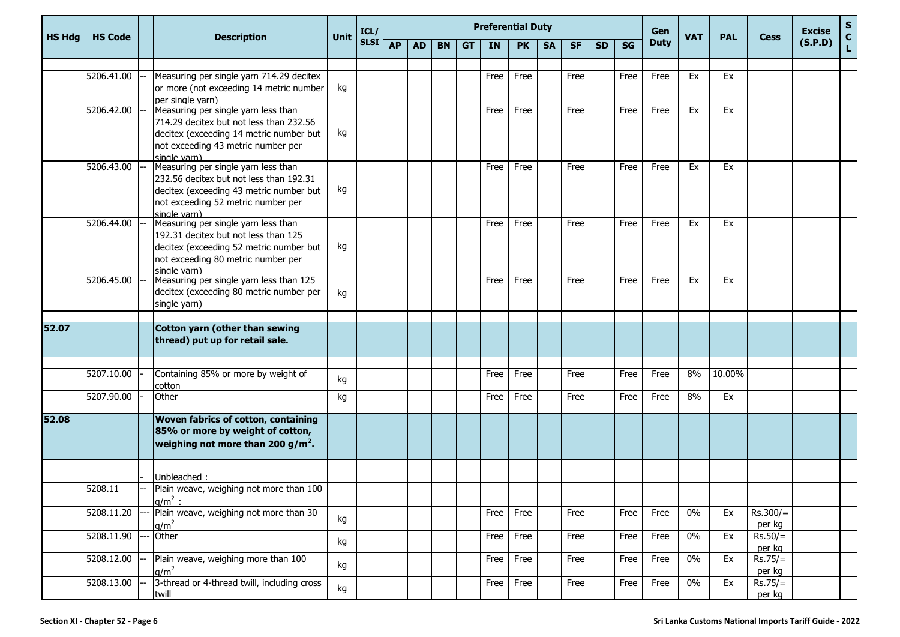|               |                |                                                                                                                                                                                 |             | ICL/        | <b>Preferential Duty</b><br>Gen |           |           |           |           |           |           |           |           |      |             | <b>PAL</b> |        | <b>Excise</b>        | $\mathbf{s}$ |               |
|---------------|----------------|---------------------------------------------------------------------------------------------------------------------------------------------------------------------------------|-------------|-------------|---------------------------------|-----------|-----------|-----------|-----------|-----------|-----------|-----------|-----------|------|-------------|------------|--------|----------------------|--------------|---------------|
| <b>HS Hdg</b> | <b>HS Code</b> | <b>Description</b>                                                                                                                                                              | <b>Unit</b> | <b>SLSI</b> | <b>AP</b>                       | <b>AD</b> | <b>BN</b> | <b>GT</b> | <b>IN</b> | <b>PK</b> | <b>SA</b> | <b>SF</b> | <b>SD</b> | SG   | <b>Duty</b> | <b>VAT</b> |        | <b>Cess</b>          | (S.P.D)      | $\frac{c}{L}$ |
|               |                |                                                                                                                                                                                 |             |             |                                 |           |           |           |           |           |           |           |           |      |             |            |        |                      |              |               |
|               | 5206.41.00     | Measuring per single yarn 714.29 decitex<br>or more (not exceeding 14 metric number<br>per single yarn)                                                                         | kg          |             |                                 |           |           |           | Free      | Free      |           | Free      |           | Free | Free        | Ex         | Ex     |                      |              |               |
|               | 5206.42.00     | Measuring per single yarn less than<br>714.29 decitex but not less than 232.56<br>decitex (exceeding 14 metric number but<br>not exceeding 43 metric number per<br>single varn) | kg          |             |                                 |           |           |           | Free      | Free      |           | Free      |           | Free | Free        | Ex         | Ex     |                      |              |               |
|               | 5206.43.00     | Measuring per single yarn less than<br>232.56 decitex but not less than 192.31<br>decitex (exceeding 43 metric number but<br>not exceeding 52 metric number per<br>single varn) | kg          |             |                                 |           |           |           | Free      | Free      |           | Free      |           | Free | Free        | Ex         | Ex     |                      |              |               |
|               | 5206.44.00     | Measuring per single yarn less than<br>192.31 decitex but not less than 125<br>decitex (exceeding 52 metric number but<br>not exceeding 80 metric number per<br>single varn)    | kg          |             |                                 |           |           |           | Free      | Free      |           | Free      |           | Free | Free        | Ex         | Ex     |                      |              |               |
|               | 5206.45.00     | Measuring per single yarn less than 125<br>decitex (exceeding 80 metric number per<br>single yarn)                                                                              | kg          |             |                                 |           |           |           | Free      | Free      |           | Free      |           | Free | Free        | Ex         | Ex     |                      |              |               |
| 52.07         |                | Cotton yarn (other than sewing<br>thread) put up for retail sale.                                                                                                               |             |             |                                 |           |           |           |           |           |           |           |           |      |             |            |        |                      |              |               |
|               | 5207.10.00     | Containing 85% or more by weight of<br>cotton                                                                                                                                   | kg          |             |                                 |           |           |           | Free      | Free      |           | Free      |           | Free | Free        | 8%         | 10.00% |                      |              |               |
|               | 5207.90.00     | Other                                                                                                                                                                           | kg          |             |                                 |           |           |           | Free      | Free      |           | Free      |           | Free | Free        | 8%         | Ex     |                      |              |               |
| 52.08         |                | Woven fabrics of cotton, containing<br>85% or more by weight of cotton,<br>weighing not more than 200 g/m <sup>2</sup> .                                                        |             |             |                                 |           |           |           |           |           |           |           |           |      |             |            |        |                      |              |               |
|               |                |                                                                                                                                                                                 |             |             |                                 |           |           |           |           |           |           |           |           |      |             |            |        |                      |              |               |
|               | 5208.11        | Unbleached:<br>Plain weave, weighing not more than 100<br>$q/m^2$ :                                                                                                             |             |             |                                 |           |           |           |           |           |           |           |           |      |             |            |        |                      |              |               |
|               | 5208.11.20     | Plain weave, weighing not more than 30<br>$q/m^2$                                                                                                                               | kg          |             |                                 |           |           |           | Free      | Free      |           | Free      |           | Free | Free        | $0\%$      | Ex     | $Rs.300/=$<br>per kg |              |               |
|               | 5208.11.90     | Other                                                                                                                                                                           | kg          |             |                                 |           |           |           | Free      | Free      |           | Free      |           | Free | Free        | $0\%$      | Ex     | $Rs.50/=$<br>per kg  |              |               |
|               | 5208.12.00     | Plain weave, weighing more than 100<br>q/m <sup>2</sup>                                                                                                                         | kg          |             |                                 |           |           |           | Free      | Free      |           | Free      |           | Free | Free        | $0\%$      | Ex     | $Rs.75/=$<br>per kg  |              |               |
|               | 5208.13.00     | 3-thread or 4-thread twill, including cross<br>twill                                                                                                                            | kg          |             |                                 |           |           |           | Free      | Free      |           | Free      |           | Free | Free        | $0\%$      | Ex     | $Rs.75/=$<br>per kg  |              |               |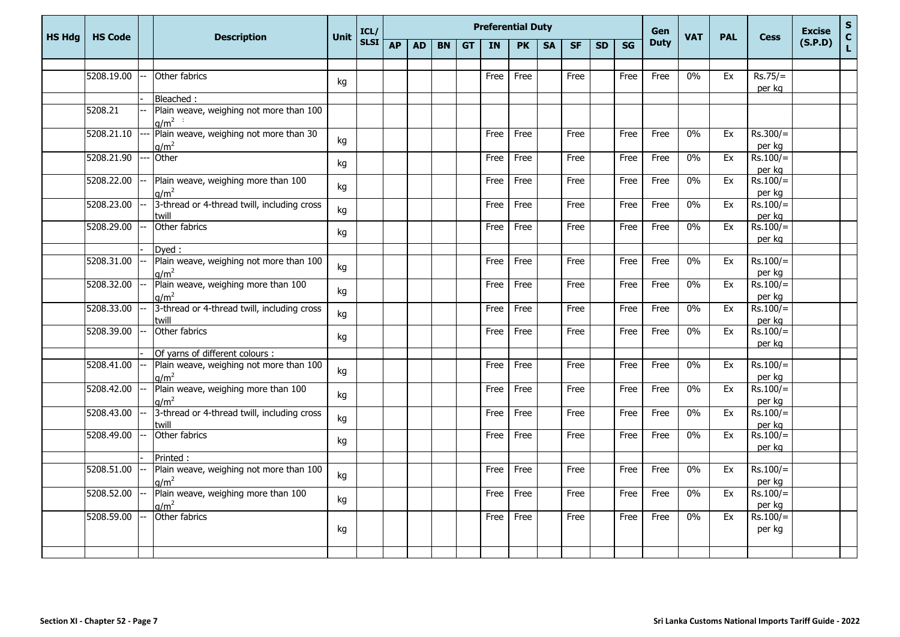|               |                |                                                             |             | ICL/        | <b>Preferential Duty</b> |           |           |           |           |           |           |           |           |           | Gen         | <b>VAT</b> |            |                      | <b>Excise</b> | $\mathbf{s}$       |
|---------------|----------------|-------------------------------------------------------------|-------------|-------------|--------------------------|-----------|-----------|-----------|-----------|-----------|-----------|-----------|-----------|-----------|-------------|------------|------------|----------------------|---------------|--------------------|
| <b>HS Hdg</b> | <b>HS Code</b> | <b>Description</b>                                          | <b>Unit</b> | <b>SLSI</b> | <b>AP</b>                | <b>AD</b> | <b>BN</b> | <b>GT</b> | <b>IN</b> | <b>PK</b> | <b>SA</b> | <b>SF</b> | <b>SD</b> | <b>SG</b> | <b>Duty</b> |            | <b>PAL</b> | <b>Cess</b>          | (S.P.D)       | $\mathbf{C}$<br>L. |
|               |                |                                                             |             |             |                          |           |           |           |           |           |           |           |           |           |             |            |            |                      |               |                    |
|               | 5208.19.00     | Other fabrics                                               | kg          |             |                          |           |           |           | Free      | Free      |           | Free      |           | Free      | Free        | 0%         | Ex         | $Rs.75/=$<br>per kg  |               |                    |
|               |                | Bleached:                                                   |             |             |                          |           |           |           |           |           |           |           |           |           |             |            |            |                      |               |                    |
|               | 5208.21        | Plain weave, weighing not more than 100<br>$q/m^2$ :        |             |             |                          |           |           |           |           |           |           |           |           |           |             |            |            |                      |               |                    |
|               | 5208.21.10     | Plain weave, weighing not more than 30<br>q/m <sup>2</sup>  | kg          |             |                          |           |           |           | Free      | Free      |           | Free      |           | Free      | Free        | $0\%$      | Ex         | $Rs.300/=$<br>per kg |               |                    |
|               | 5208.21.90     | Other                                                       | kg          |             |                          |           |           |           | Free      | Free      |           | Free      |           | Free      | Free        | $0\%$      | Ex         | $Rs.100/=$<br>per kg |               |                    |
|               | 5208.22.00     | Plain weave, weighing more than 100<br>$q/m^2$              | kg          |             |                          |           |           |           | Free      | Free      |           | Free      |           | Free      | Free        | $0\%$      | Ex         | $Rs.100/=$<br>per kg |               |                    |
|               | 5208.23.00     | 3-thread or 4-thread twill, including cross<br>twill        | kg          |             |                          |           |           |           | Free      | Free      |           | Free      |           | Free      | Free        | $0\%$      | Ex         | $Rs.100/=$<br>per kg |               |                    |
|               | 5208.29.00     | Other fabrics                                               | kg          |             |                          |           |           |           | Free      | Free      |           | Free      |           | Free      | Free        | $0\%$      | Ex         | $Rs.100/=$<br>per ka |               |                    |
|               |                | Dyed:                                                       |             |             |                          |           |           |           |           |           |           |           |           |           |             |            |            |                      |               |                    |
|               | 5208.31.00     | Plain weave, weighing not more than 100<br>$q/m^2$          | kg          |             |                          |           |           |           | Free      | Free      |           | Free      |           | Free      | Free        | $0\%$      | Ex         | $Rs.100/=$<br>per kg |               |                    |
|               | 5208.32.00     | Plain weave, weighing more than 100<br>$q/m^2$              | kg          |             |                          |           |           |           | Free      | Free      |           | Free      |           | Free      | Free        | $0\%$      | Ex         | $Rs.100/=$<br>per kg |               |                    |
|               | 5208.33.00     | 3-thread or 4-thread twill, including cross<br>twill        | kg          |             |                          |           |           |           | Free      | Free      |           | Free      |           | Free      | Free        | $0\%$      | Ex         | $Rs.100/=$<br>per kg |               |                    |
|               | 5208.39.00     | Other fabrics                                               | kg          |             |                          |           |           |           | Free      | Free      |           | Free      |           | Free      | Free        | $0\%$      | Ex         | $Rs.100/=$<br>per kg |               |                    |
|               |                | Of yarns of different colours :                             |             |             |                          |           |           |           |           |           |           |           |           |           |             |            |            |                      |               |                    |
|               | 5208.41.00     | Plain weave, weighing not more than 100<br>$q/m^2$          | kg          |             |                          |           |           |           | Free      | Free      |           | Free      |           | Free      | Free        | $0\%$      | Ex         | $Rs.100/=$<br>per kg |               |                    |
|               | 5208.42.00     | Plain weave, weighing more than 100<br>a/m <sup>2</sup>     | kg          |             |                          |           |           |           | Free      | Free      |           | Free      |           | Free      | Free        | 0%         | Ex         | $Rs.100/=$<br>per kg |               |                    |
|               | 5208.43.00     | 3-thread or 4-thread twill, including cross<br>twill        | kg          |             |                          |           |           |           | Free      | Free      |           | Free      |           | Free      | Free        | 0%         | Ex         | $Rs.100/=$<br>per kg |               |                    |
|               | 5208.49.00     | Other fabrics                                               | kg          |             |                          |           |           |           | Free      | Free      |           | Free      |           | Free      | Free        | $0\%$      | Ex         | $Rs.100/=$<br>per kg |               |                    |
|               |                | Printed:                                                    |             |             |                          |           |           |           |           |           |           |           |           |           |             |            |            |                      |               |                    |
|               | 5208.51.00     | Plain weave, weighing not more than 100<br>q/m <sup>2</sup> | kg          |             |                          |           |           |           | Free      | Free      |           | Free      |           | Free      | Free        | $0\%$      | Ex         | $Rs.100/=$<br>per kg |               |                    |
|               | 5208.52.00     | Plain weave, weighing more than 100<br>$q/m^2$              | kg          |             |                          |           |           |           | Free      | Free      |           | Free      |           | Free      | Free        | 0%         | Ex         | $Rs.100/=$<br>per kg |               |                    |
|               | 5208.59.00     | Other fabrics                                               | kg          |             |                          |           |           |           | Free      | Free      |           | Free      |           | Free      | Free        | 0%         | Ex         | $Rs.100/=$<br>per kg |               |                    |
|               |                |                                                             |             |             |                          |           |           |           |           |           |           |           |           |           |             |            |            |                      |               |                    |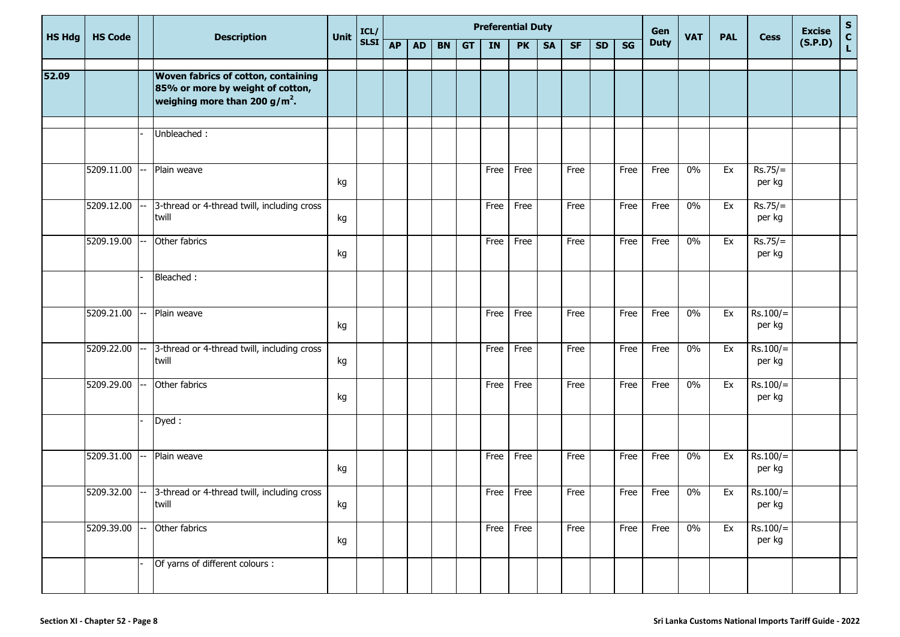|               |                |                                                                                                                             |      | ICL/        |           |           |           |           |      | <b>Preferential Duty</b> |           |           |           |      | Gen         |            |            |                      | <b>Excise</b> | S                               |
|---------------|----------------|-----------------------------------------------------------------------------------------------------------------------------|------|-------------|-----------|-----------|-----------|-----------|------|--------------------------|-----------|-----------|-----------|------|-------------|------------|------------|----------------------|---------------|---------------------------------|
| <b>HS Hdg</b> | <b>HS Code</b> | <b>Description</b>                                                                                                          | Unit | <b>SLSI</b> | <b>AP</b> | <b>AD</b> | <b>BN</b> | <b>GT</b> | IN   | <b>PK</b>                | <b>SA</b> | <b>SF</b> | <b>SD</b> | SG   | <b>Duty</b> | <b>VAT</b> | <b>PAL</b> | <b>Cess</b>          | (S.P.D)       | $\frac{\mathsf{c}}{\mathsf{L}}$ |
| 52.09         |                | <b>Woven fabrics of cotton, containing</b><br>85% or more by weight of cotton,<br>weighing more than 200 g/m <sup>2</sup> . |      |             |           |           |           |           |      |                          |           |           |           |      |             |            |            |                      |               |                                 |
|               |                | Unbleached:                                                                                                                 |      |             |           |           |           |           |      |                          |           |           |           |      |             |            |            |                      |               |                                 |
|               | 5209.11.00     | Plain weave                                                                                                                 | kg   |             |           |           |           |           | Free | Free                     |           | Free      |           | Free | Free        | $0\%$      | Ex         | $Rs.75/=$<br>per kg  |               |                                 |
|               | 5209.12.00     | 3-thread or 4-thread twill, including cross<br>twill                                                                        | kg   |             |           |           |           |           | Free | Free                     |           | Free      |           | Free | Free        | $0\%$      | Ex         | $Rs.75/=$<br>per kg  |               |                                 |
|               | 5209.19.00     | Other fabrics                                                                                                               | kg   |             |           |           |           |           | Free | Free                     |           | Free      |           | Free | Free        | $0\%$      | Ex         | $Rs.75/=$<br>per kg  |               |                                 |
|               |                | Bleached:                                                                                                                   |      |             |           |           |           |           |      |                          |           |           |           |      |             |            |            |                      |               |                                 |
|               | 5209.21.00     | Plain weave                                                                                                                 | kg   |             |           |           |           |           | Free | Free                     |           | Free      |           | Free | Free        | $0\%$      | Ex         | $Rs.100/=$<br>per kg |               |                                 |
|               | 5209.22.00     | 3-thread or 4-thread twill, including cross<br>twill                                                                        | kg   |             |           |           |           |           | Free | Free                     |           | Free      |           | Free | Free        | $0\%$      | Ex         | $Rs.100/=$<br>per kg |               |                                 |
|               | 5209.29.00     | Other fabrics                                                                                                               | kg   |             |           |           |           |           | Free | Free                     |           | Free      |           | Free | Free        | $0\%$      | Ex         | $Rs.100/=$<br>per kg |               |                                 |
|               |                | Dyed:                                                                                                                       |      |             |           |           |           |           |      |                          |           |           |           |      |             |            |            |                      |               |                                 |
|               | 5209.31.00     | Plain weave                                                                                                                 | kg   |             |           |           |           |           | Free | Free                     |           | Free      |           | Free | Free        | 0%         | Ex         | $Rs.100/=$<br>per kg |               |                                 |
|               |                | $\overline{5209.32.00}$ -- $\overline{3}$ -thread or 4-thread twill, including cross<br>twill                               | kg   |             |           |           |           |           |      | Free Free                |           | Free      |           |      | Free Free   | 0%         | Ex         | $Rs.100/=$<br>per kg |               |                                 |
|               | 5209.39.00     | Other fabrics                                                                                                               | kg   |             |           |           |           |           | Free | Free                     |           | Free      |           | Free | Free        | $0\%$      | Ex         | $Rs.100/=$<br>per kg |               |                                 |
|               |                | Of yarns of different colours :                                                                                             |      |             |           |           |           |           |      |                          |           |           |           |      |             |            |            |                      |               |                                 |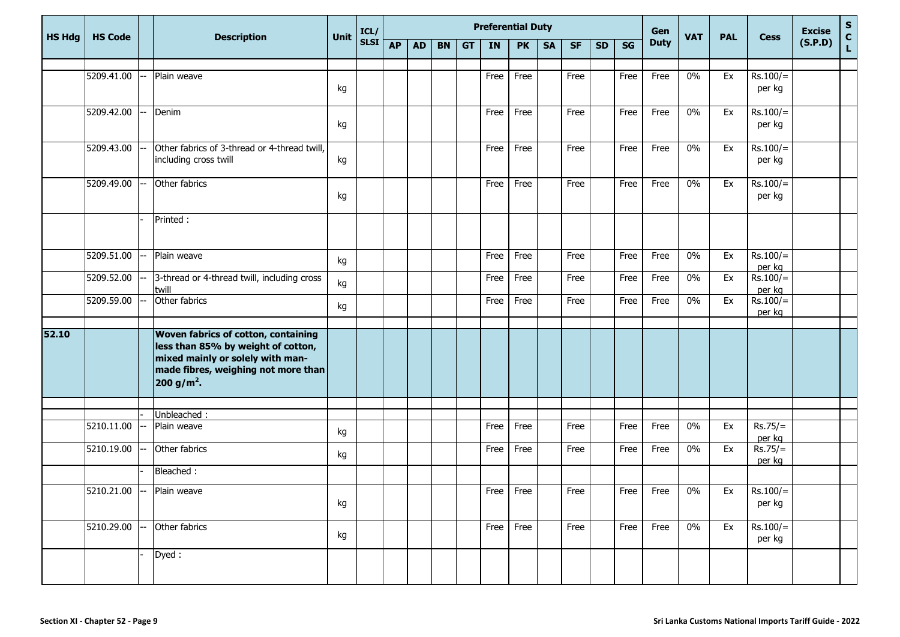| <b>HS Hdg</b><br><b>HS Code</b> |  |                                                                                        |                                                                                                                  | ICL/                                |           |           |           |           | <b>Preferential Duty</b> |           |              |           |           |      | Gen         |            |            |                                        | <b>Excise</b>                         | ${\bf S}$     |
|---------------------------------|--|----------------------------------------------------------------------------------------|------------------------------------------------------------------------------------------------------------------|-------------------------------------|-----------|-----------|-----------|-----------|--------------------------|-----------|--------------|-----------|-----------|------|-------------|------------|------------|----------------------------------------|---------------------------------------|---------------|
|                                 |  | <b>Description</b>                                                                     | <b>Unit</b>                                                                                                      | <b>SLSI</b>                         | <b>AP</b> | <b>AD</b> | <b>BN</b> | <b>GT</b> | <b>IN</b>                | <b>PK</b> | <b>SA</b>    | <b>SF</b> | <b>SD</b> | SG   | <b>Duty</b> | <b>VAT</b> | <b>PAL</b> | <b>Cess</b>                            | (S.P.D)                               | $\frac{c}{L}$ |
| 5209.41.00                      |  | Plain weave                                                                            |                                                                                                                  |                                     |           |           |           |           | Free                     | Free      |              | Free      |           | Free | Free        | $0\%$      | Ex         | $Rs.100/=$                             |                                       |               |
|                                 |  |                                                                                        | kg                                                                                                               |                                     |           |           |           |           |                          |           |              |           |           |      |             |            |            | per kg                                 |                                       |               |
| 5209.42.00                      |  | Denim                                                                                  | kg                                                                                                               |                                     |           |           |           |           | Free                     | Free      |              | Free      |           | Free | Free        | $0\%$      | Ex         | $Rs.100/=$<br>per kg                   |                                       |               |
| 5209.43.00                      |  | Other fabrics of 3-thread or 4-thread twill,<br>including cross twill                  | kg                                                                                                               |                                     |           |           |           |           | Free                     | Free      |              | Free      |           | Free | Free        | $0\%$      | Ex         | $Rs.100/=$<br>per kg                   |                                       |               |
| 5209.49.00                      |  | Other fabrics                                                                          | kg                                                                                                               |                                     |           |           |           |           | Free                     | Free      |              | Free      |           | Free | Free        | $0\%$      | Ex         | $Rs.100/=$<br>per kg                   |                                       |               |
|                                 |  | Printed:                                                                               |                                                                                                                  |                                     |           |           |           |           |                          |           |              |           |           |      |             |            |            |                                        |                                       |               |
| 5209.51.00                      |  | Plain weave                                                                            | kg                                                                                                               |                                     |           |           |           |           | Free                     | Free      |              | Free      |           | Free | Free        | $0\%$      | Ex         | $Rs.100/=$                             |                                       |               |
| 5209.52.00                      |  | 3-thread or 4-thread twill, including cross<br>twill                                   | kg                                                                                                               |                                     |           |           |           |           | Free                     | Free      |              | Free      |           | Free | Free        | $0\%$      | Ex         | $Rs.100/=$                             |                                       |               |
| 5209.59.00                      |  | Other fabrics                                                                          | kg                                                                                                               |                                     |           |           |           |           | Free                     | Free      |              | Free      |           | Free | Free        | $0\%$      | Ex         | $\overline{\text{Rs}}.100/=$<br>per kg |                                       |               |
|                                 |  | less than 85% by weight of cotton,<br>mixed mainly or solely with man-<br>$200 g/m2$ . |                                                                                                                  |                                     |           |           |           |           |                          |           |              |           |           |      |             |            |            |                                        |                                       |               |
|                                 |  |                                                                                        |                                                                                                                  |                                     |           |           |           |           |                          |           |              |           |           |      |             |            |            |                                        |                                       |               |
| 5210.11.00                      |  | Plain weave                                                                            | kg                                                                                                               |                                     |           |           |           |           | Free                     | Free      |              | Free      |           | Free | Free        | $0\%$      | Ex         | $Rs.75/=$                              |                                       |               |
| 5210.19.00                      |  | Other fabrics                                                                          | kg                                                                                                               |                                     |           |           |           |           | Free                     | Free      |              | Free      |           | Free | Free        | $0\%$      | Ex         | $Rs.75/=$<br>per kg                    |                                       |               |
|                                 |  | Bleached:                                                                              |                                                                                                                  |                                     |           |           |           |           |                          |           |              |           |           |      |             |            |            |                                        |                                       |               |
|                                 |  |                                                                                        | kg                                                                                                               |                                     |           |           |           |           |                          |           |              |           |           |      |             | $0\%$      | Ex         | per kg                                 |                                       |               |
|                                 |  |                                                                                        | kg                                                                                                               |                                     |           |           |           |           |                          |           |              | Free      |           | Free | Free        | $0\%$      | Ex         | $Rs.100/=$<br>per kg                   |                                       |               |
|                                 |  |                                                                                        |                                                                                                                  |                                     |           |           |           |           |                          |           |              |           |           |      |             |            |            |                                        |                                       |               |
|                                 |  | $5210.29.00$ --                                                                        | <b>Woven fabrics of cotton, containing</b><br>Unbleached:<br>5210.21.00 -- Plain weave<br>Other fabrics<br>Dyed: | made fibres, weighing not more than |           |           |           |           |                          |           | Free<br>Free | Free Free | Free      |      |             | Free Free  |            |                                        | per kg<br>per kg<br>per kg<br>RS.100/ |               |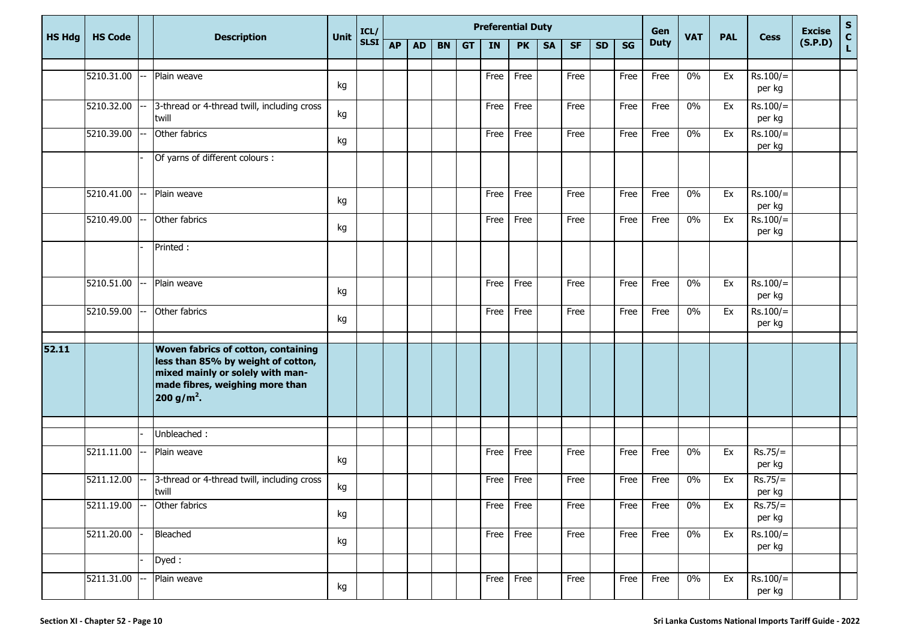|               |                |                                                                                                                                                                            |             | ICL/        | <b>Preferential Duty</b><br>Gen<br><b>Duty</b><br><b>AP</b><br><b>AD</b><br><b>BN</b><br><b>IN</b><br><b>PK</b><br><b>SA</b><br><b>SF</b><br>SG<br><b>GT</b><br><b>SD</b> |  |  |  |      |           |  |      |      |      | <b>Excise</b> | ${\sf s}$  |                      |         |                             |
|---------------|----------------|----------------------------------------------------------------------------------------------------------------------------------------------------------------------------|-------------|-------------|---------------------------------------------------------------------------------------------------------------------------------------------------------------------------|--|--|--|------|-----------|--|------|------|------|---------------|------------|----------------------|---------|-----------------------------|
| <b>HS Hdg</b> | <b>HS Code</b> | <b>Description</b>                                                                                                                                                         | <b>Unit</b> | <b>SLSI</b> |                                                                                                                                                                           |  |  |  |      |           |  |      |      |      | <b>VAT</b>    | <b>PAL</b> | <b>Cess</b>          | (S.P.D) | $\mathbf{C}$<br>$\mathbf L$ |
|               | 5210.31.00     | Plain weave                                                                                                                                                                |             |             |                                                                                                                                                                           |  |  |  | Free | Free      |  | Free | Free | Free | $0\%$         | Ex         | $Rs.100/=$           |         |                             |
|               |                |                                                                                                                                                                            | kg          |             |                                                                                                                                                                           |  |  |  |      |           |  |      |      |      |               |            | per kg               |         |                             |
|               | 5210.32.00     | 3-thread or 4-thread twill, including cross<br>twill                                                                                                                       | kg          |             |                                                                                                                                                                           |  |  |  | Free | Free      |  | Free | Free | Free | 0%            | Ex         | $Rs.100/=$<br>per kg |         |                             |
|               | 5210.39.00     | Other fabrics                                                                                                                                                              | kg          |             |                                                                                                                                                                           |  |  |  | Free | Free      |  | Free | Free | Free | $0\%$         | Ex         | $Rs.100/=$<br>per kg |         |                             |
|               |                | Of yarns of different colours :                                                                                                                                            |             |             |                                                                                                                                                                           |  |  |  |      |           |  |      |      |      |               |            |                      |         |                             |
|               | 5210.41.00     | Plain weave                                                                                                                                                                | kg          |             |                                                                                                                                                                           |  |  |  | Free | Free      |  | Free | Free | Free | $0\%$         | Ex         | $Rs.100/=$<br>per kg |         |                             |
|               | 5210.49.00     | Other fabrics                                                                                                                                                              | kg          |             |                                                                                                                                                                           |  |  |  | Free | Free      |  | Free | Free | Free | $0\%$         | Ex         | $Rs.100/=$<br>per kg |         |                             |
|               |                | Printed:                                                                                                                                                                   |             |             |                                                                                                                                                                           |  |  |  |      |           |  |      |      |      |               |            |                      |         |                             |
|               | 5210.51.00     | Plain weave                                                                                                                                                                | kg          |             |                                                                                                                                                                           |  |  |  | Free | Free      |  | Free | Free | Free | $0\%$         | Ex         | $Rs.100/=$<br>per kg |         |                             |
|               | 5210.59.00     | Other fabrics                                                                                                                                                              | kg          |             |                                                                                                                                                                           |  |  |  | Free | Free      |  | Free | Free | Free | 0%            | Ex         | $Rs.100/=$<br>per kg |         |                             |
| 52.11         |                | Woven fabrics of cotton, containing<br>less than 85% by weight of cotton,<br>mixed mainly or solely with man-<br>made fibres, weighing more than<br>200 g/m <sup>2</sup> . |             |             |                                                                                                                                                                           |  |  |  |      |           |  |      |      |      |               |            |                      |         |                             |
|               |                | Unbleached:                                                                                                                                                                |             |             |                                                                                                                                                                           |  |  |  |      |           |  |      |      |      |               |            |                      |         |                             |
|               | 5211.11.00     | Plain weave                                                                                                                                                                | kg          |             |                                                                                                                                                                           |  |  |  | Free | Free      |  | Free | Free | Free | $0\%$         | Ex         | $Rs.75/=$<br>per kg  |         |                             |
|               | 5211.12.00     | 3-thread or 4-thread twill, including cross<br>twill                                                                                                                       | kg          |             |                                                                                                                                                                           |  |  |  | Free | Free      |  | Free | Free | Free | $0\%$         | Ex         | $Rs.75/=$<br>per kg  |         |                             |
|               | 5211.19.00     | Other fabrics                                                                                                                                                              | kg          |             |                                                                                                                                                                           |  |  |  |      | Free Free |  | Free | Free | Free | $0\%$         | Ex         | $Rs.75/=$<br>per kg  |         |                             |
|               | 5211.20.00     | Bleached                                                                                                                                                                   | kg          |             |                                                                                                                                                                           |  |  |  |      | Free Free |  | Free | Free | Free | $0\%$         | Ex         | $Rs.100/=$<br>per kg |         |                             |
|               |                | Dyed:                                                                                                                                                                      |             |             |                                                                                                                                                                           |  |  |  |      |           |  |      |      |      |               |            |                      |         |                             |
|               | 5211.31.00     | Plain weave                                                                                                                                                                | kg          |             |                                                                                                                                                                           |  |  |  |      | Free Free |  | Free | Free | Free | $0\%$         | Ex         | $Rs.100/=$<br>per kg |         |                             |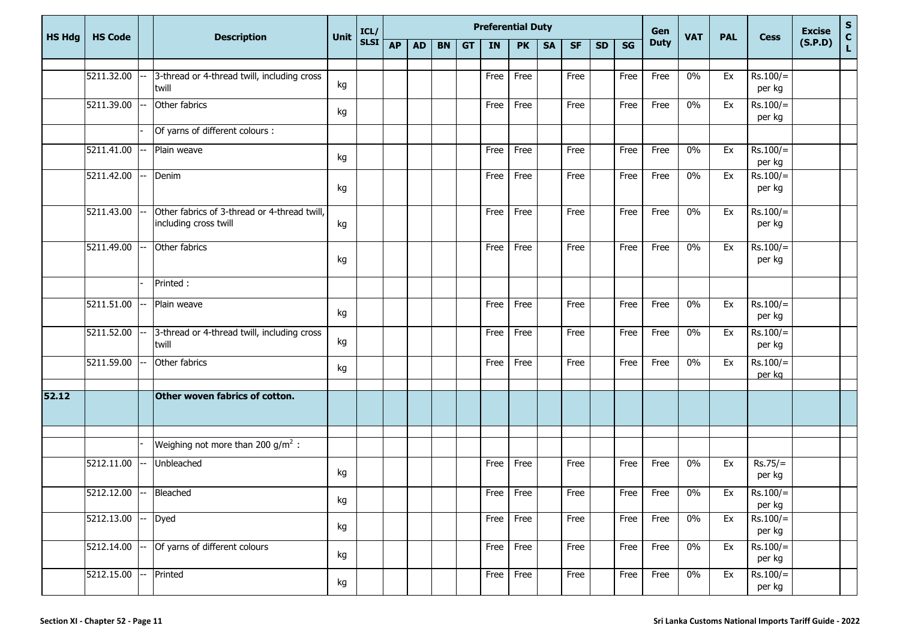| <b>HS Hdg</b> | <b>HS Code</b>         |                                                                       | <b>Unit</b> | ICL/        | <b>Preferential Duty</b><br>Gen |           |           |           |           |           |           |           | <b>VAT</b> | <b>PAL</b> | <b>Cess</b> | <b>Excise</b> | S<br>C<br>L |                      |         |  |
|---------------|------------------------|-----------------------------------------------------------------------|-------------|-------------|---------------------------------|-----------|-----------|-----------|-----------|-----------|-----------|-----------|------------|------------|-------------|---------------|-------------|----------------------|---------|--|
|               |                        | <b>Description</b>                                                    |             | <b>SLSI</b> | <b>AP</b>                       | <b>AD</b> | <b>BN</b> | <b>GT</b> | <b>IN</b> | <b>PK</b> | <b>SA</b> | <b>SF</b> | <b>SD</b>  | SG         | <b>Duty</b> |               |             |                      | (S.P.D) |  |
|               | 5211.32.00             | 3-thread or 4-thread twill, including cross                           |             |             |                                 |           |           |           | Free      | Free      |           | Free      |            | Free       | Free        | $0\%$         | Ex          | $Rs.100/=$           |         |  |
|               |                        | twill                                                                 | kg          |             |                                 |           |           |           |           |           |           |           |            |            |             |               |             | per kg               |         |  |
|               | 5211.39.00             | Other fabrics                                                         | kg          |             |                                 |           |           |           | Free      | Free      |           | Free      |            | Free       | Free        | $0\%$         | Ex          | $Rs.100/=$<br>per kg |         |  |
|               |                        | Of yarns of different colours :                                       |             |             |                                 |           |           |           |           |           |           |           |            |            |             |               |             |                      |         |  |
|               | 5211.41.00             | Plain weave                                                           | kg          |             |                                 |           |           |           | Free      | Free      |           | Free      |            | Free       | Free        | $0\%$         | Ex          | $Rs.100/=$<br>per kg |         |  |
|               | 5211.42.00             | Denim                                                                 | kg          |             |                                 |           |           |           | Free      | Free      |           | Free      |            | Free       | Free        | $0\%$         | Ex          | $Rs.100/=$<br>per kg |         |  |
|               | 5211.43.00             | Other fabrics of 3-thread or 4-thread twill,<br>including cross twill | kg          |             |                                 |           |           |           | Free      | Free      |           | Free      |            | Free       | Free        | $0\%$         | Ex          | $Rs.100/=$<br>per kg |         |  |
|               | 5211.49.00             | Other fabrics                                                         | kg          |             |                                 |           |           |           | Free      | Free      |           | Free      |            | Free       | Free        | $0\%$         | Ex          | $Rs.100/=$<br>per kg |         |  |
|               |                        | Printed:                                                              |             |             |                                 |           |           |           |           |           |           |           |            |            |             |               |             |                      |         |  |
|               | 5211.51.00             | Plain weave                                                           | kg          |             |                                 |           |           |           | Free      | Free      |           | Free      |            | Free       | Free        | $0\%$         | Ex          | $Rs.100/=$<br>per kg |         |  |
|               | 5211.52.00             | 3-thread or 4-thread twill, including cross<br>twill                  | kg          |             |                                 |           |           |           | Free      | Free      |           | Free      |            | Free       | Free        | $0\%$         | Ex          | $Rs.100/=$<br>per kg |         |  |
|               | 5211.59.00             | Other fabrics                                                         | kg          |             |                                 |           |           |           | Free      | Free      |           | Free      |            | Free       | Free        | $0\%$         | Ex          | $Rs.100/=$<br>per kg |         |  |
| 52.12         |                        | Other woven fabrics of cotton.                                        |             |             |                                 |           |           |           |           |           |           |           |            |            |             |               |             |                      |         |  |
|               |                        |                                                                       |             |             |                                 |           |           |           |           |           |           |           |            |            |             |               |             |                      |         |  |
|               |                        | Weighing not more than 200 $g/m^2$ :                                  |             |             |                                 |           |           |           |           |           |           |           |            |            |             |               |             |                      |         |  |
|               | 5212.11.00             | Unbleached                                                            | kg          |             |                                 |           |           |           | Free      | Free      |           | Free      |            | Free       | Free        | 0%            | Ex          | $Rs.75/=$<br>per kg  |         |  |
|               | 5212.12.00 -- Bleached |                                                                       | kg          |             |                                 |           |           |           | Free      | Free      |           | Free      |            | Free       | Free        | $0\%$         | Ex          | $Rs.100/=$<br>per kg |         |  |
|               | 5212.13.00             | Dyed                                                                  | kg          |             |                                 |           |           |           | Free      | Free      |           | Free      |            | Free       | Free        | $0\%$         | Ex          | $Rs.100/=$<br>per kg |         |  |
|               | 5212.14.00             | Of yarns of different colours                                         | kg          |             |                                 |           |           |           | Free      | Free      |           | Free      |            | Free       | Free        | $0\%$         | Ex          | $Rs.100/=$<br>per kg |         |  |
|               | 5212.15.00             | Printed                                                               | kg          |             |                                 |           |           |           | Free      | Free      |           | Free      |            | Free       | Free        | $0\%$         | Ex          | $Rs.100/=$<br>per kg |         |  |